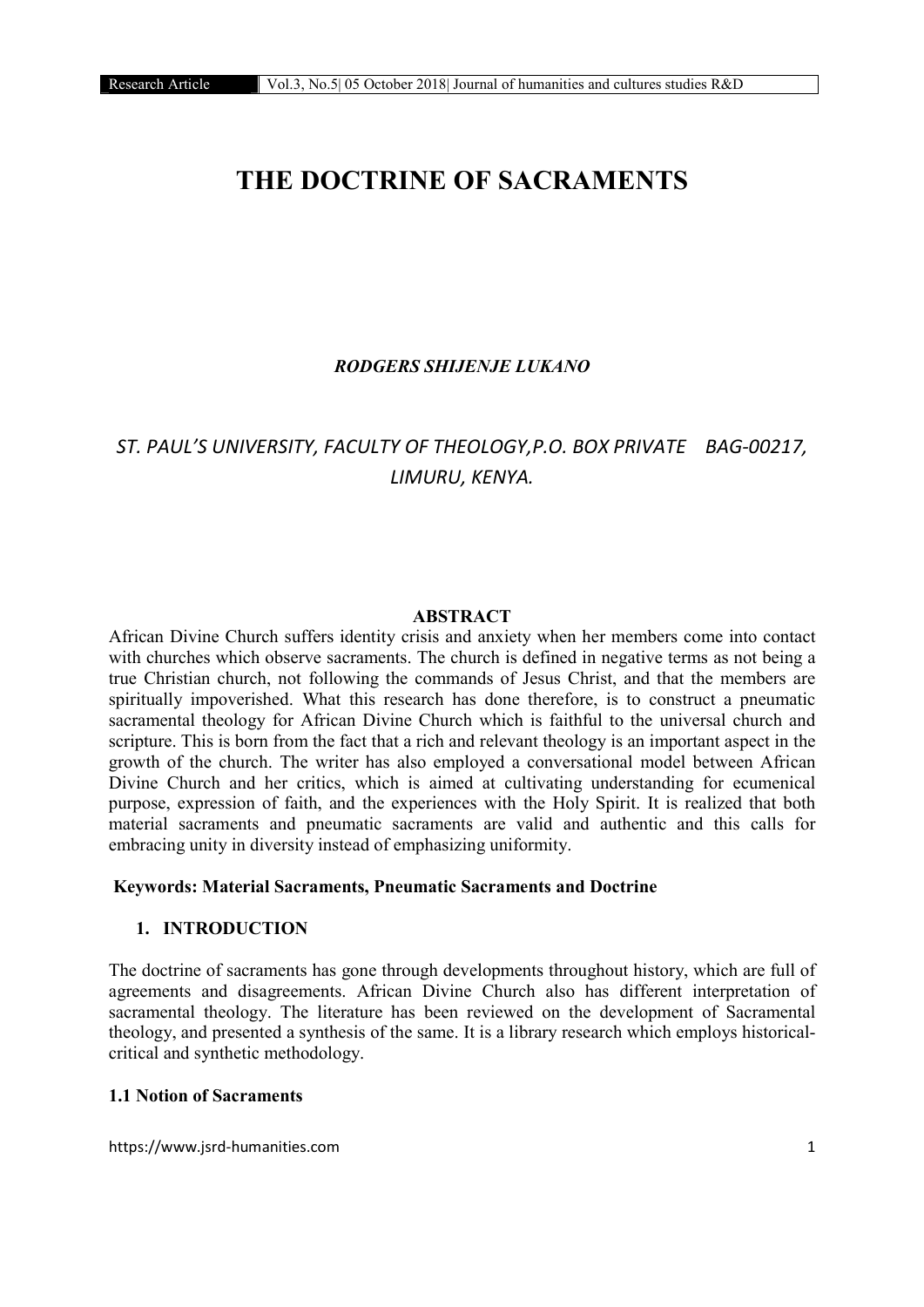# THE DOCTRINE OF SACRAMENTS

# *RODGERS SHIJENJE LUKANO*

# *ST. PAUL'S UNIVERSITY, FACULTY OF THEOLOGY,P.O. BOX PRIVATE BAG-00217, LIMURU, KENYA.*

#### ABSTRACT

African Divine Church suffers identity crisis and anxiety when her members come into contact with churches which observe sacraments. The church is defined in negative terms as not being a true Christian church, not following the commands of Jesus Christ, and that the members are spiritually impoverished. What this research has done therefore, is to construct a pneumatic sacramental theology for African Divine Church which is faithful to the universal church and scripture. This is born from the fact that a rich and relevant theology is an important aspect in the growth of the church. The writer has also employed a conversational model between African Divine Church and her critics, which is aimed at cultivating understanding for ecumenical purpose, expression of faith, and the experiences with the Holy Spirit. It is realized that both material sacraments and pneumatic sacraments are valid and authentic and this calls for embracing unity in diversity instead of emphasizing uniformity.

#### Keywords: Material Sacraments, Pneumatic Sacraments and Doctrine

#### 1. INTRODUCTION

The doctrine of sacraments has gone through developments throughout history, which are full of agreements and disagreements. African Divine Church also has different interpretation of sacramental theology. The literature has been reviewed on the development of Sacramental theology, and presented a synthesis of the same. It is a library research which employs historicalcritical and synthetic methodology.

# 1.1 Notion of Sacraments

https://www.jsrd-humanities.com 1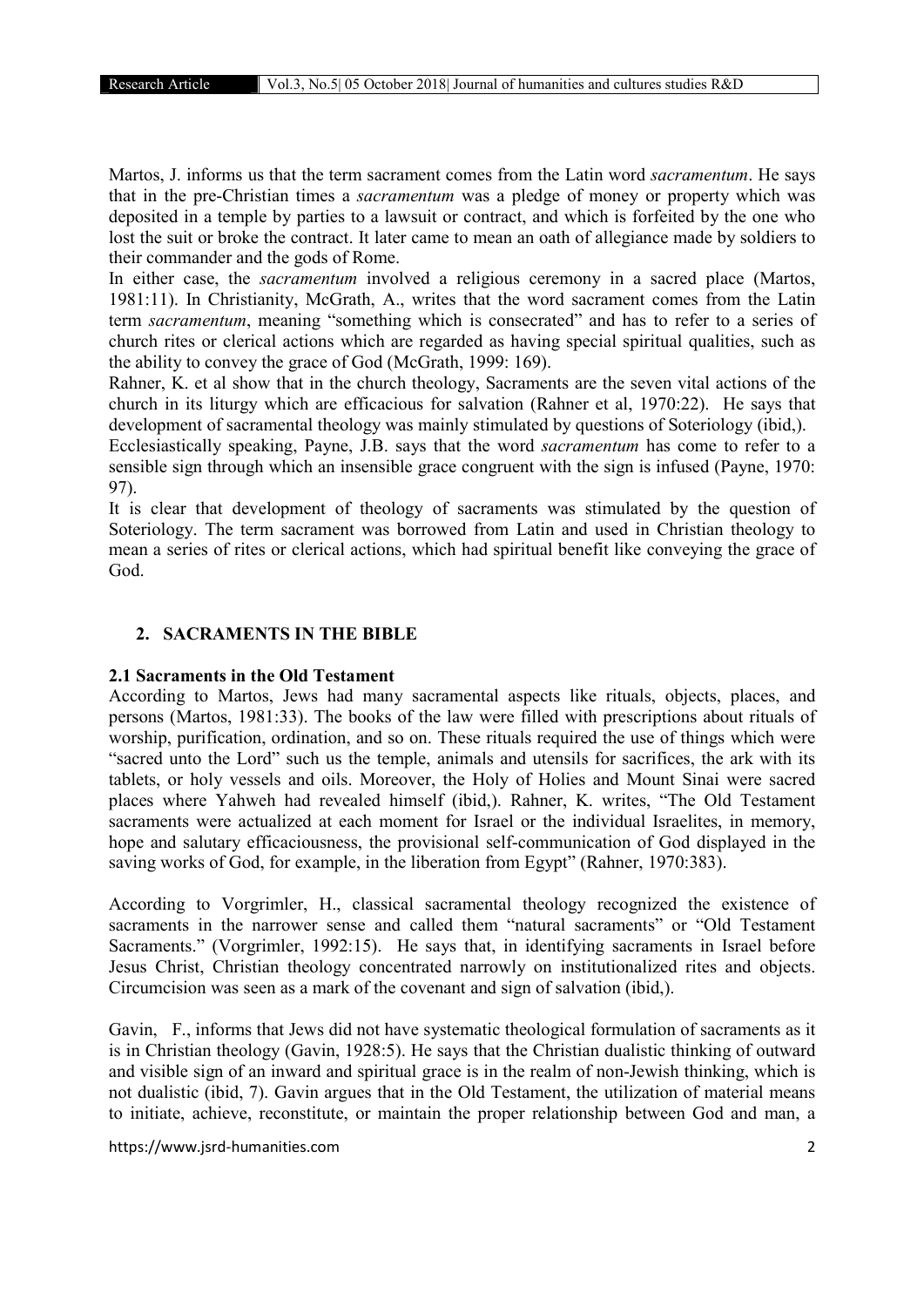Martos, J. informs us that the term sacrament comes from the Latin word *sacramentum*. He says that in the pre-Christian times a *sacramentum* was a pledge of money or property which was deposited in a temple by parties to a lawsuit or contract, and which is forfeited by the one who lost the suit or broke the contract. It later came to mean an oath of allegiance made by soldiers to their commander and the gods of Rome.

In either case, the *sacramentum* involved a religious ceremony in a sacred place (Martos, 1981:11). In Christianity, McGrath, A., writes that the word sacrament comes from the Latin term *sacramentum*, meaning "something which is consecrated" and has to refer to a series of church rites or clerical actions which are regarded as having special spiritual qualities, such as the ability to convey the grace of God (McGrath, 1999: 169).

Rahner, K. et al show that in the church theology, Sacraments are the seven vital actions of the church in its liturgy which are efficacious for salvation (Rahner et al, 1970:22). He says that development of sacramental theology was mainly stimulated by questions of Soteriology (ibid,).

Ecclesiastically speaking, Payne, J.B. says that the word *sacramentum* has come to refer to a sensible sign through which an insensible grace congruent with the sign is infused (Payne, 1970: 97).

It is clear that development of theology of sacraments was stimulated by the question of Soteriology. The term sacrament was borrowed from Latin and used in Christian theology to mean a series of rites or clerical actions, which had spiritual benefit like conveying the grace of God.

### 2. SACRAMENTS IN THE BIBLE

# 2.1 Sacraments in the Old Testament

According to Martos, Jews had many sacramental aspects like rituals, objects, places, and persons (Martos, 1981:33). The books of the law were filled with prescriptions about rituals of worship, purification, ordination, and so on. These rituals required the use of things which were "sacred unto the Lord" such us the temple, animals and utensils for sacrifices, the ark with its tablets, or holy vessels and oils. Moreover, the Holy of Holies and Mount Sinai were sacred places where Yahweh had revealed himself (ibid,). Rahner, K. writes, "The Old Testament sacraments were actualized at each moment for Israel or the individual Israelites, in memory, hope and salutary efficaciousness, the provisional self-communication of God displayed in the saving works of God, for example, in the liberation from Egypt" (Rahner, 1970:383).

According to Vorgrimler, H., classical sacramental theology recognized the existence of sacraments in the narrower sense and called them "natural sacraments" or "Old Testament Sacraments." (Vorgrimler, 1992:15). He says that, in identifying sacraments in Israel before Jesus Christ, Christian theology concentrated narrowly on institutionalized rites and objects. Circumcision was seen as a mark of the covenant and sign of salvation (ibid,).

Gavin, F., informs that Jews did not have systematic theological formulation of sacraments as it is in Christian theology (Gavin, 1928:5). He says that the Christian dualistic thinking of outward and visible sign of an inward and spiritual grace is in the realm of non-Jewish thinking, which is not dualistic (ibid, 7). Gavin argues that in the Old Testament, the utilization of material means to initiate, achieve, reconstitute, or maintain the proper relationship between God and man, a

https://www.jsrd-humanities.com 2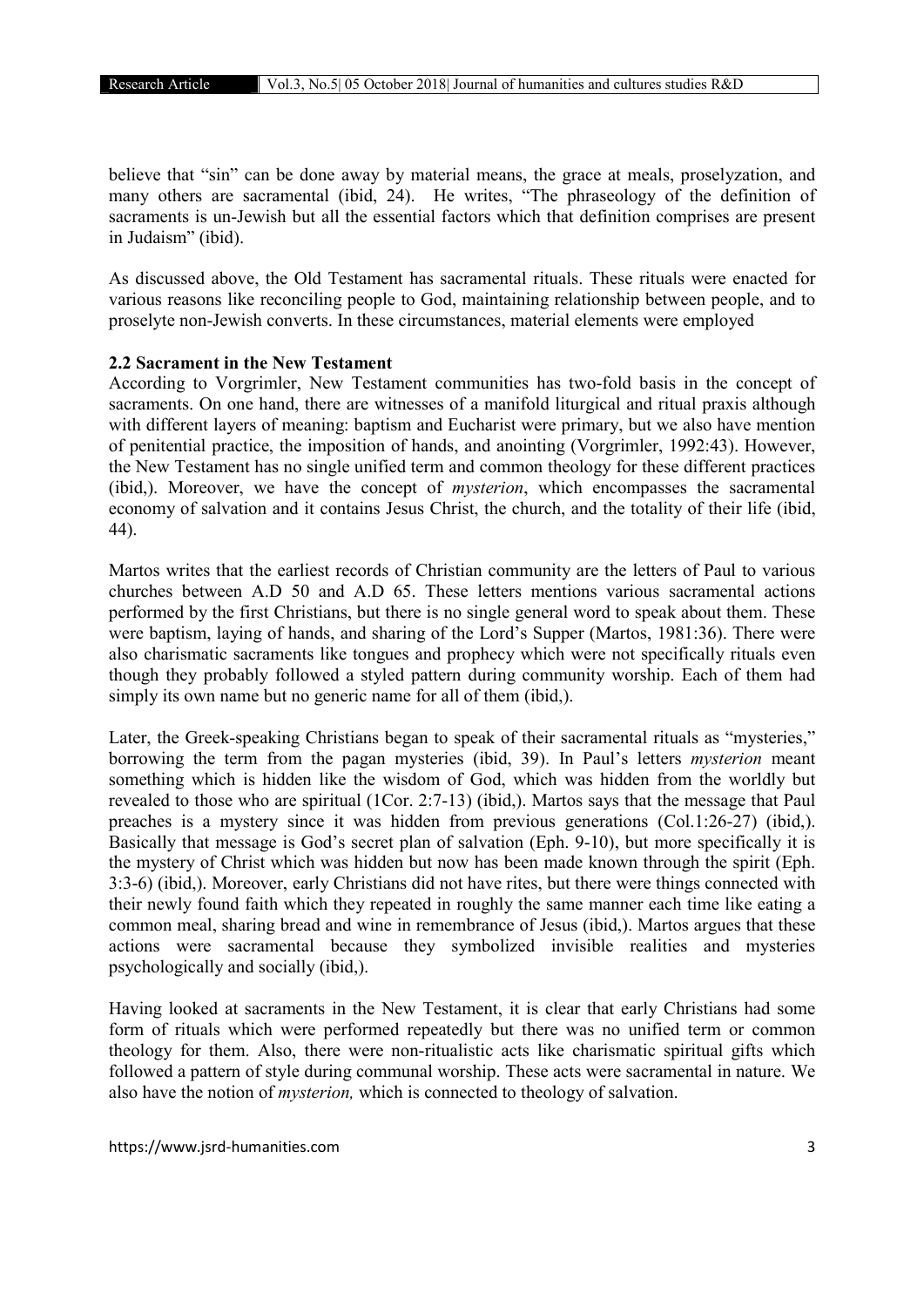believe that "sin" can be done away by material means, the grace at meals, proselyzation, and many others are sacramental (ibid, 24). He writes, "The phraseology of the definition of sacraments is un-Jewish but all the essential factors which that definition comprises are present in Judaism" (ibid).

As discussed above, the Old Testament has sacramental rituals. These rituals were enacted for various reasons like reconciling people to God, maintaining relationship between people, and to proselyte non-Jewish converts. In these circumstances, material elements were employed

#### 2.2 Sacrament in the New Testament

According to Vorgrimler, New Testament communities has two-fold basis in the concept of sacraments. On one hand, there are witnesses of a manifold liturgical and ritual praxis although with different layers of meaning: baptism and Eucharist were primary, but we also have mention of penitential practice, the imposition of hands, and anointing (Vorgrimler, 1992:43). However, the New Testament has no single unified term and common theology for these different practices (ibid,). Moreover, we have the concept of *mysterion*, which encompasses the sacramental economy of salvation and it contains Jesus Christ, the church, and the totality of their life (ibid, 44).

Martos writes that the earliest records of Christian community are the letters of Paul to various churches between A.D 50 and A.D 65. These letters mentions various sacramental actions performed by the first Christians, but there is no single general word to speak about them. These were baptism, laying of hands, and sharing of the Lord's Supper (Martos, 1981:36). There were also charismatic sacraments like tongues and prophecy which were not specifically rituals even though they probably followed a styled pattern during community worship. Each of them had simply its own name but no generic name for all of them (ibid,).

Later, the Greek-speaking Christians began to speak of their sacramental rituals as "mysteries," borrowing the term from the pagan mysteries (ibid, 39). In Paul's letters *mysterion* meant something which is hidden like the wisdom of God, which was hidden from the worldly but revealed to those who are spiritual (1Cor. 2:7-13) (ibid,). Martos says that the message that Paul preaches is a mystery since it was hidden from previous generations (Col.1:26-27) (ibid,). Basically that message is God's secret plan of salvation (Eph. 9-10), but more specifically it is the mystery of Christ which was hidden but now has been made known through the spirit (Eph. 3:3-6) (ibid,). Moreover, early Christians did not have rites, but there were things connected with their newly found faith which they repeated in roughly the same manner each time like eating a common meal, sharing bread and wine in remembrance of Jesus (ibid,). Martos argues that these actions were sacramental because they symbolized invisible realities and mysteries psychologically and socially (ibid,).

Having looked at sacraments in the New Testament, it is clear that early Christians had some form of rituals which were performed repeatedly but there was no unified term or common theology for them. Also, there were non-ritualistic acts like charismatic spiritual gifts which followed a pattern of style during communal worship. These acts were sacramental in nature. We also have the notion of *mysterion,* which is connected to theology of salvation.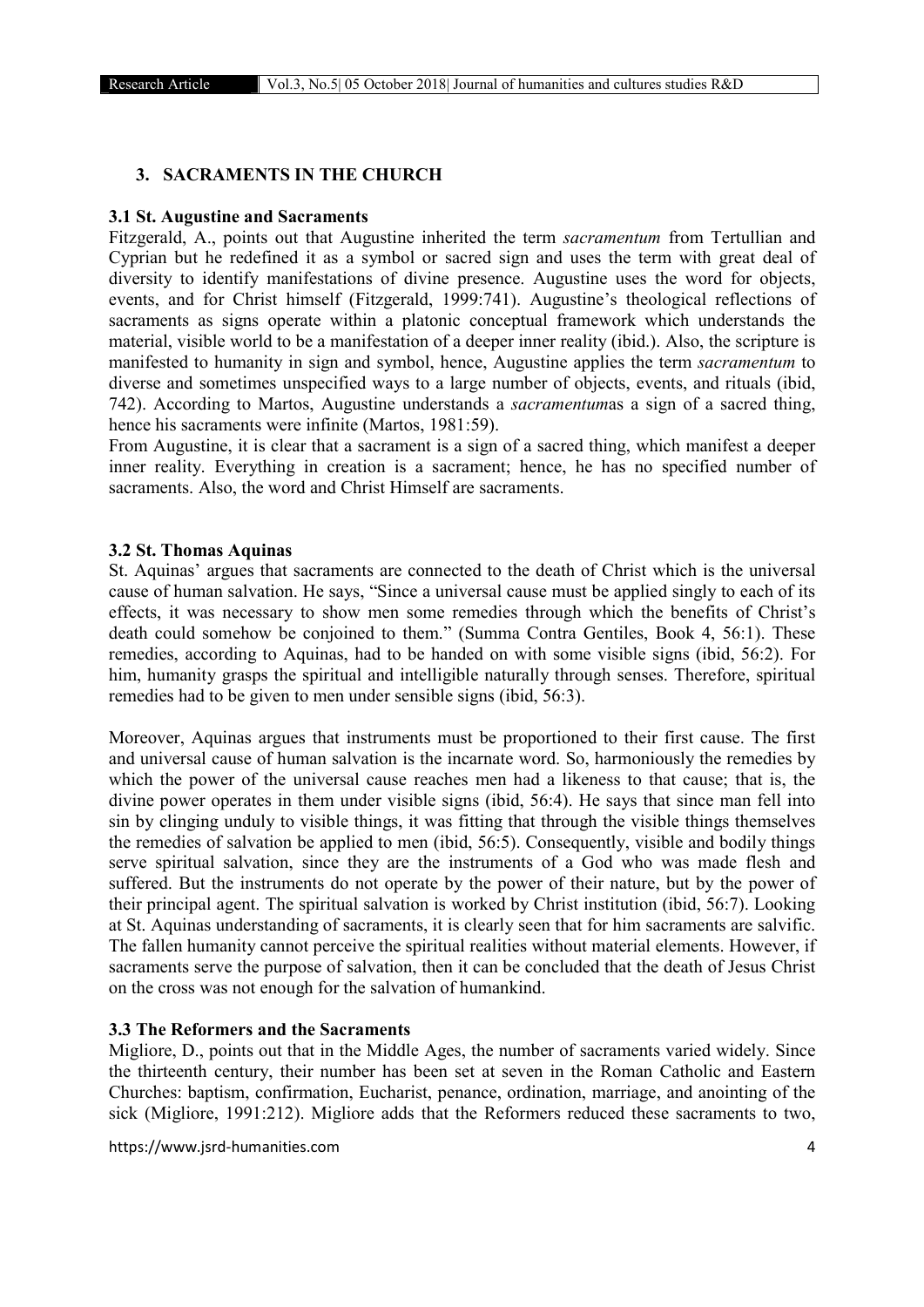# 3. SACRAMENTS IN THE CHURCH

#### 3.1 St. Augustine and Sacraments

Fitzgerald, A., points out that Augustine inherited the term *sacramentum* from Tertullian and Cyprian but he redefined it as a symbol or sacred sign and uses the term with great deal of diversity to identify manifestations of divine presence. Augustine uses the word for objects, events, and for Christ himself (Fitzgerald, 1999:741). Augustine's theological reflections of sacraments as signs operate within a platonic conceptual framework which understands the material, visible world to be a manifestation of a deeper inner reality (ibid.). Also, the scripture is manifested to humanity in sign and symbol, hence, Augustine applies the term *sacramentum* to diverse and sometimes unspecified ways to a large number of objects, events, and rituals (ibid, 742). According to Martos, Augustine understands a *sacramentum*as a sign of a sacred thing, hence his sacraments were infinite (Martos, 1981:59).

From Augustine, it is clear that a sacrament is a sign of a sacred thing, which manifest a deeper inner reality. Everything in creation is a sacrament; hence, he has no specified number of sacraments. Also, the word and Christ Himself are sacraments.

#### 3.2 St. Thomas Aquinas

St. Aquinas' argues that sacraments are connected to the death of Christ which is the universal cause of human salvation. He says, "Since a universal cause must be applied singly to each of its effects, it was necessary to show men some remedies through which the benefits of Christ's death could somehow be conjoined to them." (Summa Contra Gentiles, Book 4, 56:1). These remedies, according to Aquinas, had to be handed on with some visible signs (ibid, 56:2). For him, humanity grasps the spiritual and intelligible naturally through senses. Therefore, spiritual remedies had to be given to men under sensible signs (ibid, 56:3).

Moreover, Aquinas argues that instruments must be proportioned to their first cause. The first and universal cause of human salvation is the incarnate word. So, harmoniously the remedies by which the power of the universal cause reaches men had a likeness to that cause; that is, the divine power operates in them under visible signs (ibid, 56:4). He says that since man fell into sin by clinging unduly to visible things, it was fitting that through the visible things themselves the remedies of salvation be applied to men (ibid, 56:5). Consequently, visible and bodily things serve spiritual salvation, since they are the instruments of a God who was made flesh and suffered. But the instruments do not operate by the power of their nature, but by the power of their principal agent. The spiritual salvation is worked by Christ institution (ibid, 56:7). Looking at St. Aquinas understanding of sacraments, it is clearly seen that for him sacraments are salvific. The fallen humanity cannot perceive the spiritual realities without material elements. However, if sacraments serve the purpose of salvation, then it can be concluded that the death of Jesus Christ on the cross was not enough for the salvation of humankind.

# 3.3 The Reformers and the Sacraments

Migliore, D., points out that in the Middle Ages, the number of sacraments varied widely. Since the thirteenth century, their number has been set at seven in the Roman Catholic and Eastern Churches: baptism, confirmation, Eucharist, penance, ordination, marriage, and anointing of the sick (Migliore, 1991:212). Migliore adds that the Reformers reduced these sacraments to two,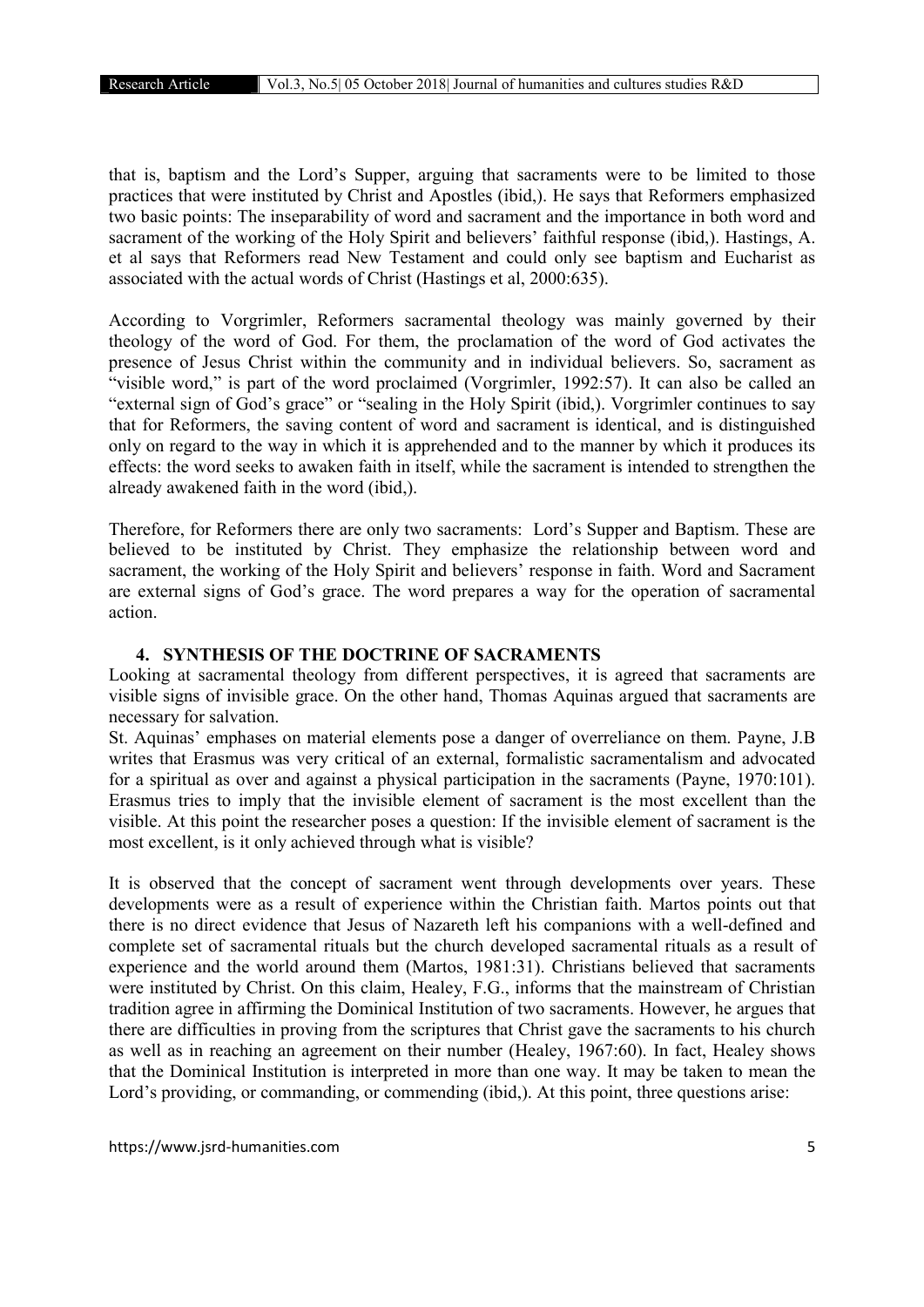that is, baptism and the Lord's Supper, arguing that sacraments were to be limited to those practices that were instituted by Christ and Apostles (ibid,). He says that Reformers emphasized two basic points: The inseparability of word and sacrament and the importance in both word and sacrament of the working of the Holy Spirit and believers' faithful response (ibid,). Hastings, A. et al says that Reformers read New Testament and could only see baptism and Eucharist as associated with the actual words of Christ (Hastings et al, 2000:635).

According to Vorgrimler, Reformers sacramental theology was mainly governed by their theology of the word of God. For them, the proclamation of the word of God activates the presence of Jesus Christ within the community and in individual believers. So, sacrament as "visible word," is part of the word proclaimed (Vorgrimler, 1992:57). It can also be called an "external sign of God's grace" or "sealing in the Holy Spirit (ibid,). Vorgrimler continues to say that for Reformers, the saving content of word and sacrament is identical, and is distinguished only on regard to the way in which it is apprehended and to the manner by which it produces its effects: the word seeks to awaken faith in itself, while the sacrament is intended to strengthen the already awakened faith in the word (ibid,).

Therefore, for Reformers there are only two sacraments: Lord's Supper and Baptism. These are believed to be instituted by Christ. They emphasize the relationship between word and sacrament, the working of the Holy Spirit and believers' response in faith. Word and Sacrament are external signs of God's grace. The word prepares a way for the operation of sacramental action.

# 4. SYNTHESIS OF THE DOCTRINE OF SACRAMENTS

Looking at sacramental theology from different perspectives, it is agreed that sacraments are visible signs of invisible grace. On the other hand, Thomas Aquinas argued that sacraments are necessary for salvation.

St. Aquinas' emphases on material elements pose a danger of overreliance on them. Payne, J.B writes that Erasmus was very critical of an external, formalistic sacramentalism and advocated for a spiritual as over and against a physical participation in the sacraments (Payne, 1970:101). Erasmus tries to imply that the invisible element of sacrament is the most excellent than the visible. At this point the researcher poses a question: If the invisible element of sacrament is the most excellent, is it only achieved through what is visible?

It is observed that the concept of sacrament went through developments over years. These developments were as a result of experience within the Christian faith. Martos points out that there is no direct evidence that Jesus of Nazareth left his companions with a well-defined and complete set of sacramental rituals but the church developed sacramental rituals as a result of experience and the world around them (Martos, 1981:31). Christians believed that sacraments were instituted by Christ. On this claim, Healey, F.G., informs that the mainstream of Christian tradition agree in affirming the Dominical Institution of two sacraments. However, he argues that there are difficulties in proving from the scriptures that Christ gave the sacraments to his church as well as in reaching an agreement on their number (Healey, 1967:60). In fact, Healey shows that the Dominical Institution is interpreted in more than one way. It may be taken to mean the Lord's providing, or commanding, or commending (ibid,). At this point, three questions arise: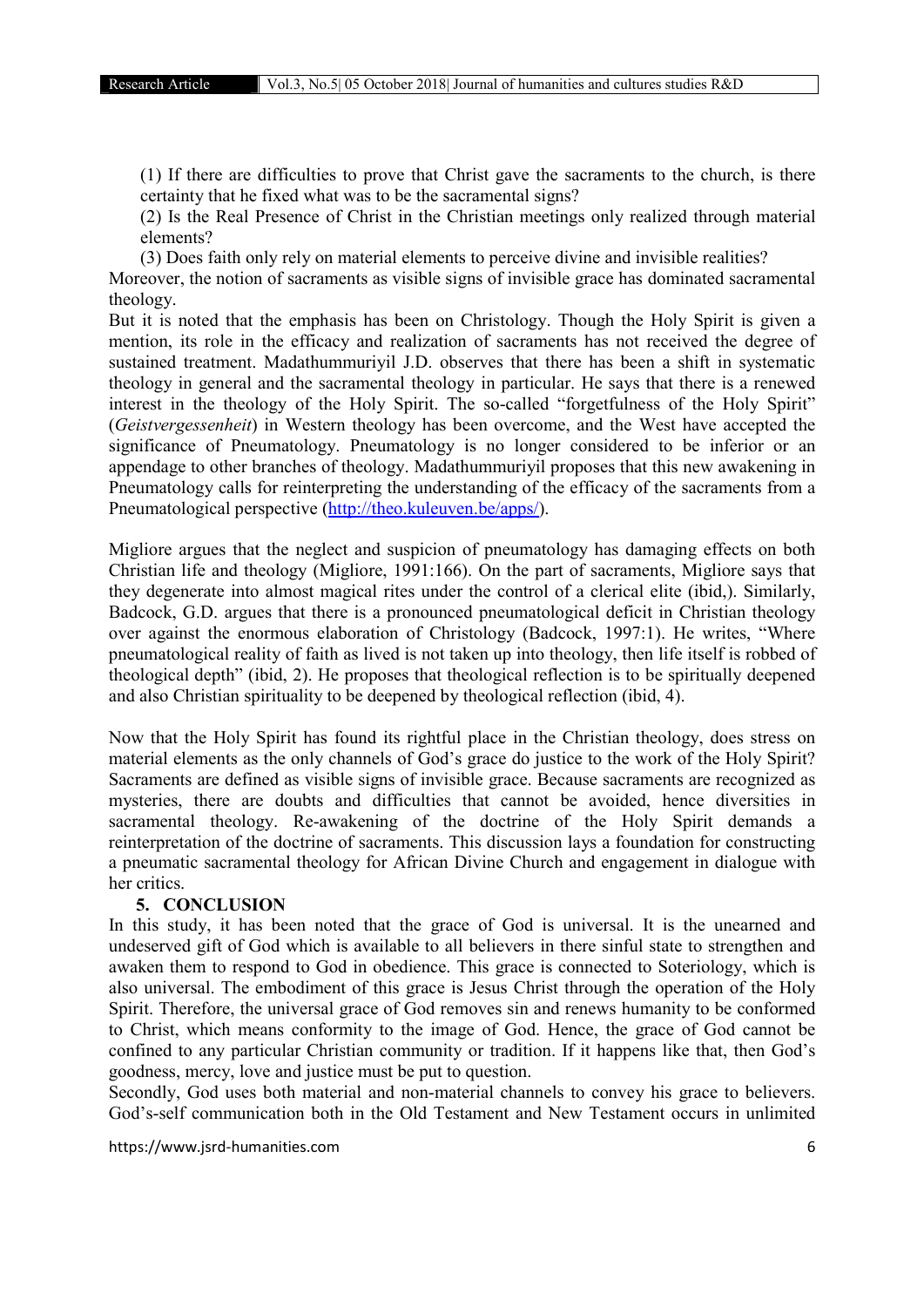(1) If there are difficulties to prove that Christ gave the sacraments to the church, is there certainty that he fixed what was to be the sacramental signs?

(2) Is the Real Presence of Christ in the Christian meetings only realized through material elements?

(3) Does faith only rely on material elements to perceive divine and invisible realities? Moreover, the notion of sacraments as visible signs of invisible grace has dominated sacramental theology.

But it is noted that the emphasis has been on Christology. Though the Holy Spirit is given a mention, its role in the efficacy and realization of sacraments has not received the degree of sustained treatment. Madathummuriyil J.D. observes that there has been a shift in systematic theology in general and the sacramental theology in particular. He says that there is a renewed interest in the theology of the Holy Spirit. The so-called "forgetfulness of the Holy Spirit" (*Geistvergessenheit*) in Western theology has been overcome, and the West have accepted the significance of Pneumatology. Pneumatology is no longer considered to be inferior or an appendage to other branches of theology. Madathummuriyil proposes that this new awakening in Pneumatology calls for reinterpreting the understanding of the efficacy of the sacraments from a Pneumatological perspective (http://theo.kuleuven.be/apps/).

Migliore argues that the neglect and suspicion of pneumatology has damaging effects on both Christian life and theology (Migliore, 1991:166). On the part of sacraments, Migliore says that they degenerate into almost magical rites under the control of a clerical elite (ibid,). Similarly, Badcock, G.D. argues that there is a pronounced pneumatological deficit in Christian theology over against the enormous elaboration of Christology (Badcock, 1997:1). He writes, "Where pneumatological reality of faith as lived is not taken up into theology, then life itself is robbed of theological depth" (ibid, 2). He proposes that theological reflection is to be spiritually deepened and also Christian spirituality to be deepened by theological reflection (ibid, 4).

Now that the Holy Spirit has found its rightful place in the Christian theology, does stress on material elements as the only channels of God's grace do justice to the work of the Holy Spirit? Sacraments are defined as visible signs of invisible grace. Because sacraments are recognized as mysteries, there are doubts and difficulties that cannot be avoided, hence diversities in sacramental theology. Re-awakening of the doctrine of the Holy Spirit demands a reinterpretation of the doctrine of sacraments. This discussion lays a foundation for constructing a pneumatic sacramental theology for African Divine Church and engagement in dialogue with her critics.

#### 5. CONCLUSION

In this study, it has been noted that the grace of God is universal. It is the unearned and undeserved gift of God which is available to all believers in there sinful state to strengthen and awaken them to respond to God in obedience. This grace is connected to Soteriology, which is also universal. The embodiment of this grace is Jesus Christ through the operation of the Holy Spirit. Therefore, the universal grace of God removes sin and renews humanity to be conformed to Christ, which means conformity to the image of God. Hence, the grace of God cannot be confined to any particular Christian community or tradition. If it happens like that, then God's goodness, mercy, love and justice must be put to question.

Secondly, God uses both material and non-material channels to convey his grace to believers. God's-self communication both in the Old Testament and New Testament occurs in unlimited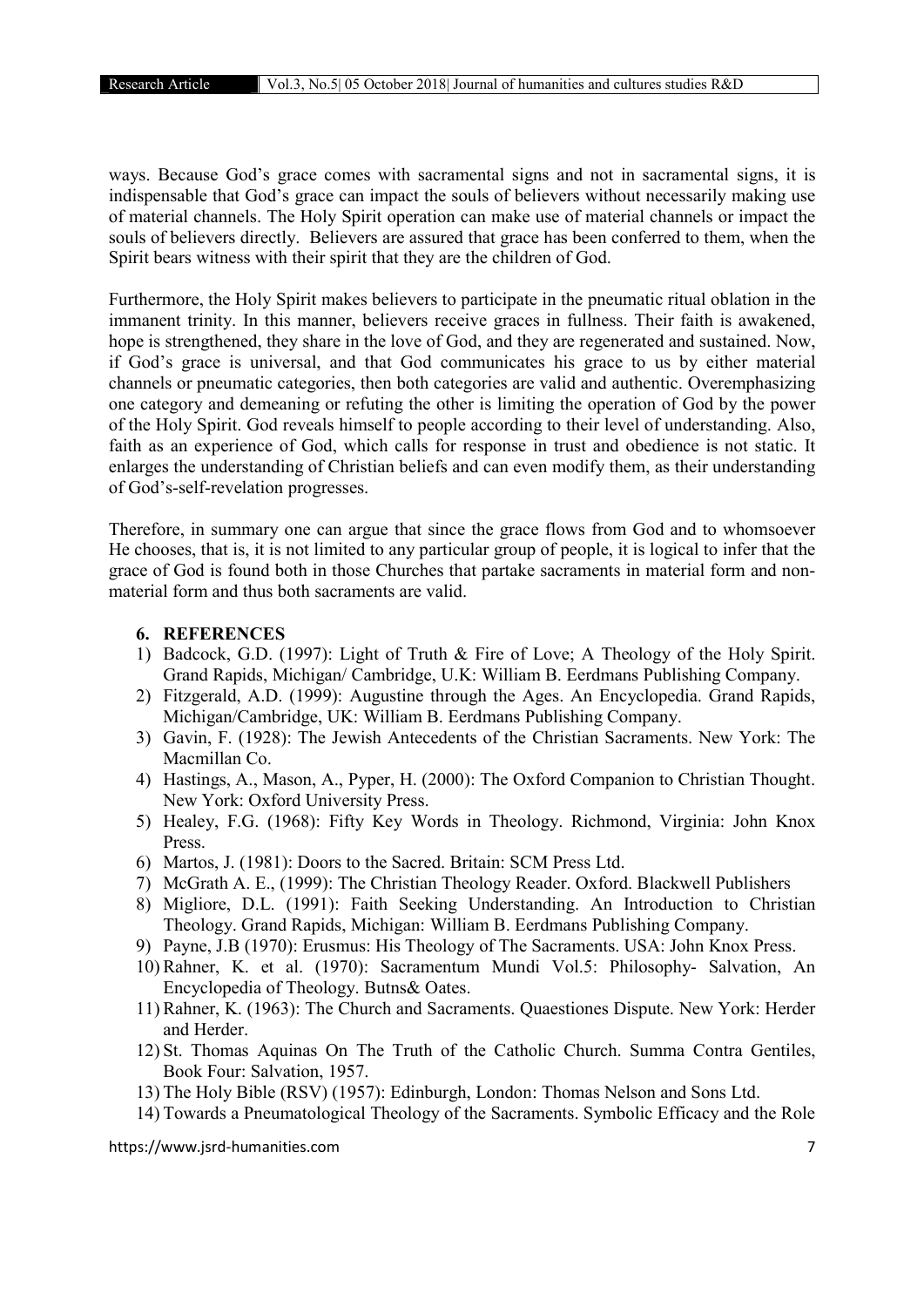ways. Because God's grace comes with sacramental signs and not in sacramental signs, it is indispensable that God's grace can impact the souls of believers without necessarily making use of material channels. The Holy Spirit operation can make use of material channels or impact the souls of believers directly. Believers are assured that grace has been conferred to them, when the Spirit bears witness with their spirit that they are the children of God.

Furthermore, the Holy Spirit makes believers to participate in the pneumatic ritual oblation in the immanent trinity. In this manner, believers receive graces in fullness. Their faith is awakened, hope is strengthened, they share in the love of God, and they are regenerated and sustained. Now, if God's grace is universal, and that God communicates his grace to us by either material channels or pneumatic categories, then both categories are valid and authentic. Overemphasizing one category and demeaning or refuting the other is limiting the operation of God by the power of the Holy Spirit. God reveals himself to people according to their level of understanding. Also, faith as an experience of God, which calls for response in trust and obedience is not static. It enlarges the understanding of Christian beliefs and can even modify them, as their understanding of God's-self-revelation progresses.

Therefore, in summary one can argue that since the grace flows from God and to whomsoever He chooses, that is, it is not limited to any particular group of people, it is logical to infer that the grace of God is found both in those Churches that partake sacraments in material form and nonmaterial form and thus both sacraments are valid.

#### 6. REFERENCES

- 1) Badcock, G.D. (1997): Light of Truth & Fire of Love; A Theology of the Holy Spirit. Grand Rapids, Michigan/ Cambridge, U.K: William B. Eerdmans Publishing Company.
- 2) Fitzgerald, A.D. (1999): Augustine through the Ages. An Encyclopedia. Grand Rapids, Michigan/Cambridge, UK: William B. Eerdmans Publishing Company.
- 3) Gavin, F. (1928): The Jewish Antecedents of the Christian Sacraments. New York: The Macmillan Co.
- 4) Hastings, A., Mason, A., Pyper, H. (2000): The Oxford Companion to Christian Thought. New York: Oxford University Press.
- 5) Healey, F.G. (1968): Fifty Key Words in Theology. Richmond, Virginia: John Knox Press.
- 6) Martos, J. (1981): Doors to the Sacred. Britain: SCM Press Ltd.
- 7) McGrath A. E., (1999): The Christian Theology Reader. Oxford. Blackwell Publishers
- 8) Migliore, D.L. (1991): Faith Seeking Understanding. An Introduction to Christian Theology. Grand Rapids, Michigan: William B. Eerdmans Publishing Company.
- 9) Payne, J.B (1970): Erusmus: His Theology of The Sacraments. USA: John Knox Press.
- 10) Rahner, K. et al. (1970): Sacramentum Mundi Vol.5: Philosophy- Salvation, An Encyclopedia of Theology. Butns& Oates.
- 11) Rahner, K. (1963): The Church and Sacraments. Quaestiones Dispute. New York: Herder and Herder.
- 12) St. Thomas Aquinas On The Truth of the Catholic Church. Summa Contra Gentiles, Book Four: Salvation, 1957.
- 13) The Holy Bible (RSV) (1957): Edinburgh, London: Thomas Nelson and Sons Ltd.
- 14) Towards a Pneumatological Theology of the Sacraments. Symbolic Efficacy and the Role

https://www.jsrd-humanities.com 7